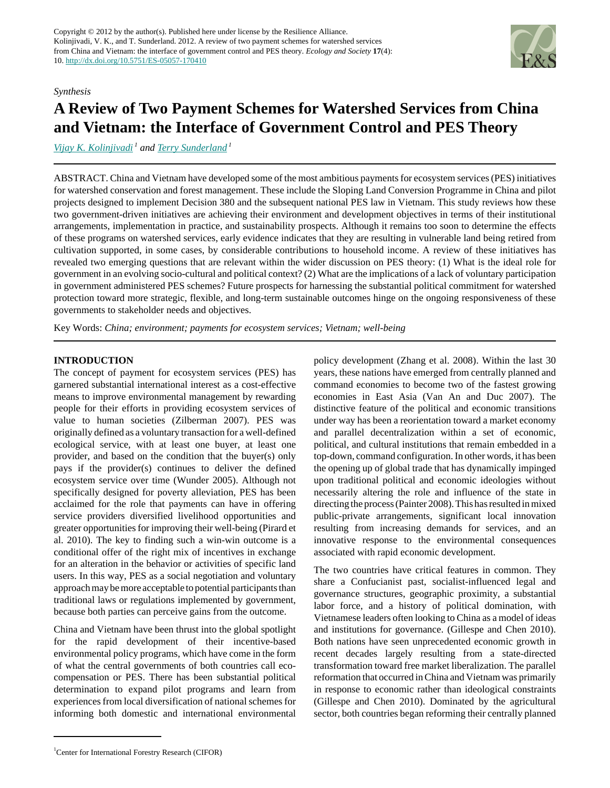

#### *Synthesis*

# **A Review of Two Payment Schemes for Watershed Services from China and Vietnam: the Interface of Government Control and PES Theory**

*[Vijay K. Kolinjivadi](mailto:vijay.kolinjivadi@mail.mcgill.ca)<sup>1</sup> and [Terry Sunderland](mailto:T.Sunderland@cgiar.org)<sup>1</sup>*

ABSTRACT. China and Vietnam have developed some of the most ambitious payments for ecosystem services (PES) initiatives for watershed conservation and forest management. These include the Sloping Land Conversion Programme in China and pilot projects designed to implement Decision 380 and the subsequent national PES law in Vietnam. This study reviews how these two government-driven initiatives are achieving their environment and development objectives in terms of their institutional arrangements, implementation in practice, and sustainability prospects. Although it remains too soon to determine the effects of these programs on watershed services, early evidence indicates that they are resulting in vulnerable land being retired from cultivation supported, in some cases, by considerable contributions to household income. A review of these initiatives has revealed two emerging questions that are relevant within the wider discussion on PES theory: (1) What is the ideal role for government in an evolving socio-cultural and political context? (2) What are the implications of a lack of voluntary participation in government administered PES schemes? Future prospects for harnessing the substantial political commitment for watershed protection toward more strategic, flexible, and long-term sustainable outcomes hinge on the ongoing responsiveness of these governments to stakeholder needs and objectives.

Key Words: *China; environment; payments for ecosystem services; Vietnam; well-being*

## **INTRODUCTION**

The concept of payment for ecosystem services (PES) has garnered substantial international interest as a cost-effective means to improve environmental management by rewarding people for their efforts in providing ecosystem services of value to human societies (Zilberman 2007). PES was originally defined as a voluntary transaction for a well-defined ecological service, with at least one buyer, at least one provider, and based on the condition that the buyer(s) only pays if the provider(s) continues to deliver the defined ecosystem service over time (Wunder 2005). Although not specifically designed for poverty alleviation, PES has been acclaimed for the role that payments can have in offering service providers diversified livelihood opportunities and greater opportunities for improving their well-being (Pirard et al. 2010). The key to finding such a win-win outcome is a conditional offer of the right mix of incentives in exchange for an alteration in the behavior or activities of specific land users. In this way, PES as a social negotiation and voluntary approach may be more acceptable to potential participants than traditional laws or regulations implemented by government, because both parties can perceive gains from the outcome.

China and Vietnam have been thrust into the global spotlight for the rapid development of their incentive-based environmental policy programs, which have come in the form of what the central governments of both countries call ecocompensation or PES. There has been substantial political determination to expand pilot programs and learn from experiences from local diversification of national schemes for informing both domestic and international environmental policy development (Zhang et al. 2008). Within the last 30 years, these nations have emerged from centrally planned and command economies to become two of the fastest growing economies in East Asia (Van An and Duc 2007). The distinctive feature of the political and economic transitions under way has been a reorientation toward a market economy and parallel decentralization within a set of economic, political, and cultural institutions that remain embedded in a top-down, command configuration. In other words, it has been the opening up of global trade that has dynamically impinged upon traditional political and economic ideologies without necessarily altering the role and influence of the state in directing the process (Painter 2008). This has resulted in mixed public-private arrangements, significant local innovation resulting from increasing demands for services, and an innovative response to the environmental consequences associated with rapid economic development.

The two countries have critical features in common. They share a Confucianist past, socialist-influenced legal and governance structures, geographic proximity, a substantial labor force, and a history of political domination, with Vietnamese leaders often looking to China as a model of ideas and institutions for governance. (Gillespe and Chen 2010). Both nations have seen unprecedented economic growth in recent decades largely resulting from a state-directed transformation toward free market liberalization. The parallel reformation that occurred in China and Vietnam was primarily in response to economic rather than ideological constraints (Gillespe and Chen 2010). Dominated by the agricultural sector, both countries began reforming their centrally planned

<sup>&</sup>lt;sup>1</sup>Center for International Forestry Research (CIFOR)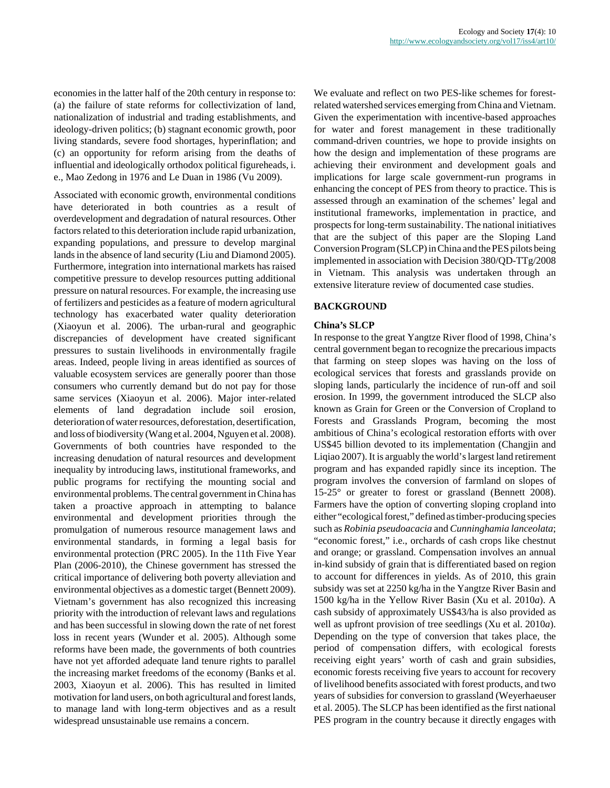economies in the latter half of the 20th century in response to: (a) the failure of state reforms for collectivization of land, nationalization of industrial and trading establishments, and ideology-driven politics; (b) stagnant economic growth, poor living standards, severe food shortages, hyperinflation; and (c) an opportunity for reform arising from the deaths of influential and ideologically orthodox political figureheads, i. e., Mao Zedong in 1976 and Le Duan in 1986 (Vu 2009).

Associated with economic growth, environmental conditions have deteriorated in both countries as a result of overdevelopment and degradation of natural resources. Other factors related to this deterioration include rapid urbanization, expanding populations, and pressure to develop marginal lands in the absence of land security (Liu and Diamond 2005). Furthermore, integration into international markets has raised competitive pressure to develop resources putting additional pressure on natural resources. For example, the increasing use of fertilizers and pesticides as a feature of modern agricultural technology has exacerbated water quality deterioration (Xiaoyun et al. 2006). The urban-rural and geographic discrepancies of development have created significant pressures to sustain livelihoods in environmentally fragile areas. Indeed, people living in areas identified as sources of valuable ecosystem services are generally poorer than those consumers who currently demand but do not pay for those same services (Xiaoyun et al. 2006). Major inter-related elements of land degradation include soil erosion, deterioration of water resources, deforestation, desertification, and loss of biodiversity (Wang et al. 2004, Nguyen et al. 2008). Governments of both countries have responded to the increasing denudation of natural resources and development inequality by introducing laws, institutional frameworks, and public programs for rectifying the mounting social and environmental problems. The central government in China has taken a proactive approach in attempting to balance environmental and development priorities through the promulgation of numerous resource management laws and environmental standards, in forming a legal basis for environmental protection (PRC 2005). In the 11th Five Year Plan (2006-2010), the Chinese government has stressed the critical importance of delivering both poverty alleviation and environmental objectives as a domestic target (Bennett 2009). Vietnam's government has also recognized this increasing priority with the introduction of relevant laws and regulations and has been successful in slowing down the rate of net forest loss in recent years (Wunder et al. 2005). Although some reforms have been made, the governments of both countries have not yet afforded adequate land tenure rights to parallel the increasing market freedoms of the economy (Banks et al. 2003, Xiaoyun et al. 2006). This has resulted in limited motivation for land users, on both agricultural and forest lands, to manage land with long-term objectives and as a result widespread unsustainable use remains a concern.

We evaluate and reflect on two PES-like schemes for forestrelated watershed services emerging from China and Vietnam. Given the experimentation with incentive-based approaches for water and forest management in these traditionally command-driven countries, we hope to provide insights on how the design and implementation of these programs are achieving their environment and development goals and implications for large scale government-run programs in enhancing the concept of PES from theory to practice. This is assessed through an examination of the schemes' legal and institutional frameworks, implementation in practice, and prospects for long-term sustainability. The national initiatives that are the subject of this paper are the Sloping Land Conversion Program (SLCP) in China and the PES pilots being implemented in association with Decision 380/QD-TTg/2008 in Vietnam. This analysis was undertaken through an extensive literature review of documented case studies.

## **BACKGROUND**

#### **China's SLCP**

In response to the great Yangtze River flood of 1998, China's central government began to recognize the precarious impacts that farming on steep slopes was having on the loss of ecological services that forests and grasslands provide on sloping lands, particularly the incidence of run-off and soil erosion. In 1999, the government introduced the SLCP also known as Grain for Green or the Conversion of Cropland to Forests and Grasslands Program, becoming the most ambitious of China's ecological restoration efforts with over US\$45 billion devoted to its implementation (Changjin and Liqiao 2007). It is arguably the world's largest land retirement program and has expanded rapidly since its inception. The program involves the conversion of farmland on slopes of 15-25° or greater to forest or grassland (Bennett 2008). Farmers have the option of converting sloping cropland into either "ecological forest," defined as timber-producing species such as *Robinia pseudoacacia* and *Cunninghamia lanceolata*; "economic forest," i.e., orchards of cash crops like chestnut and orange; or grassland. Compensation involves an annual in-kind subsidy of grain that is differentiated based on region to account for differences in yields. As of 2010, this grain subsidy was set at 2250 kg/ha in the Yangtze River Basin and 1500 kg/ha in the Yellow River Basin (Xu et al. 2010*a*). A cash subsidy of approximately US\$43/ha is also provided as well as upfront provision of tree seedlings (Xu et al. 2010*a*). Depending on the type of conversion that takes place, the period of compensation differs, with ecological forests receiving eight years' worth of cash and grain subsidies, economic forests receiving five years to account for recovery of livelihood benefits associated with forest products, and two years of subsidies for conversion to grassland (Weyerhaeuser et al. 2005). The SLCP has been identified as the first national PES program in the country because it directly engages with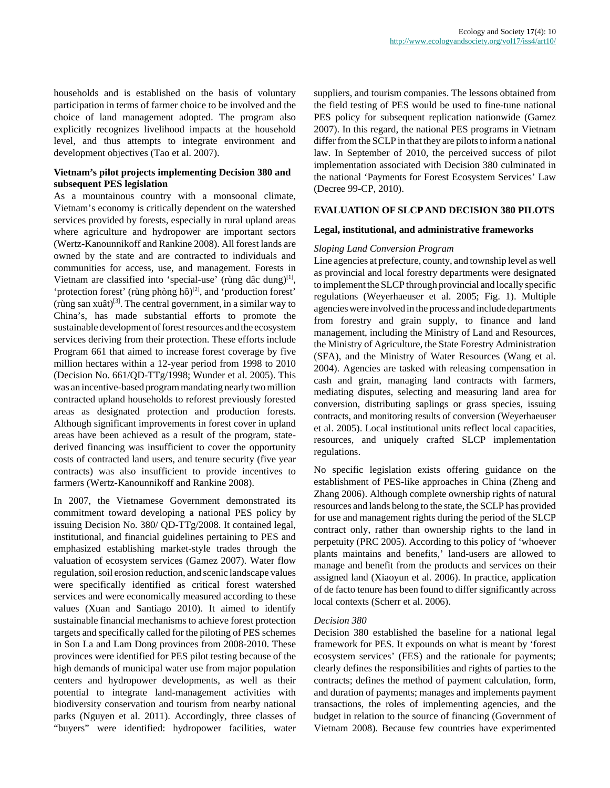households and is established on the basis of voluntary participation in terms of farmer choice to be involved and the choice of land management adopted. The program also explicitly recognizes livelihood impacts at the household level, and thus attempts to integrate environment and development objectives (Tao et al. 2007).

# **Vietnam's pilot projects implementing Decision 380 and subsequent PES legislation**

As a mountainous country with a monsoonal climate, Vietnam's economy is critically dependent on the watershed services provided by forests, especially in rural upland areas where agriculture and hydropower are important sectors (Wertz-Kanounnikoff and Rankine 2008). All forest lands are owned by the state and are contracted to individuals and communities for access, use, and management. Forests in Vietnam are classified into 'special-use' (rùng dâc dung)<sup>[1]</sup>, 'protection forest' (rùng phòng hô) $^{[2]}$ , and 'production forest' (rùng san xuât)<sup>[3]</sup>. The central government, in a similar way to China's, has made substantial efforts to promote the sustainable development of forest resources and the ecosystem services deriving from their protection. These efforts include Program 661 that aimed to increase forest coverage by five million hectares within a 12-year period from 1998 to 2010 (Decision No. 661/QD-TTg/1998; Wunder et al. 2005). This was an incentive-based program mandating nearly two million contracted upland households to reforest previously forested areas as designated protection and production forests. Although significant improvements in forest cover in upland areas have been achieved as a result of the program, statederived financing was insufficient to cover the opportunity costs of contracted land users, and tenure security (five year contracts) was also insufficient to provide incentives to farmers (Wertz-Kanounnikoff and Rankine 2008).

In 2007, the Vietnamese Government demonstrated its commitment toward developing a national PES policy by issuing Decision No. 380/ QD-TTg/2008. It contained legal, institutional, and financial guidelines pertaining to PES and emphasized establishing market-style trades through the valuation of ecosystem services (Gamez 2007). Water flow regulation, soil erosion reduction, and scenic landscape values were specifically identified as critical forest watershed services and were economically measured according to these values (Xuan and Santiago 2010). It aimed to identify sustainable financial mechanisms to achieve forest protection targets and specifically called for the piloting of PES schemes in Son La and Lam Dong provinces from 2008-2010. These provinces were identified for PES pilot testing because of the high demands of municipal water use from major population centers and hydropower developments, as well as their potential to integrate land-management activities with biodiversity conservation and tourism from nearby national parks (Nguyen et al. 2011). Accordingly, three classes of "buyers" were identified: hydropower facilities, water suppliers, and tourism companies. The lessons obtained from the field testing of PES would be used to fine-tune national PES policy for subsequent replication nationwide (Gamez 2007). In this regard, the national PES programs in Vietnam differ from the SCLP in that they are pilots to inform a national law. In September of 2010, the perceived success of pilot implementation associated with Decision 380 culminated in the national 'Payments for Forest Ecosystem Services' Law (Decree 99-CP, 2010).

#### **EVALUATION OF SLCP AND DECISION 380 PILOTS**

#### **Legal, institutional, and administrative frameworks**

#### *Sloping Land Conversion Program*

Line agencies at prefecture, county, and township level as well as provincial and local forestry departments were designated to implement the SLCP through provincial and locally specific regulations (Weyerhaeuser et al. 2005; Fig. 1). Multiple agencies were involved in the process and include departments from forestry and grain supply, to finance and land management, including the Ministry of Land and Resources, the Ministry of Agriculture, the State Forestry Administration (SFA), and the Ministry of Water Resources (Wang et al. 2004). Agencies are tasked with releasing compensation in cash and grain, managing land contracts with farmers, mediating disputes, selecting and measuring land area for conversion, distributing saplings or grass species, issuing contracts, and monitoring results of conversion (Weyerhaeuser et al. 2005). Local institutional units reflect local capacities, resources, and uniquely crafted SLCP implementation regulations.

No specific legislation exists offering guidance on the establishment of PES-like approaches in China (Zheng and Zhang 2006). Although complete ownership rights of natural resources and lands belong to the state, the SCLP has provided for use and management rights during the period of the SLCP contract only, rather than ownership rights to the land in perpetuity (PRC 2005). According to this policy of 'whoever plants maintains and benefits,' land-users are allowed to manage and benefit from the products and services on their assigned land (Xiaoyun et al. 2006). In practice, application of de facto tenure has been found to differ significantly across local contexts (Scherr et al. 2006).

#### *Decision 380*

Decision 380 established the baseline for a national legal framework for PES. It expounds on what is meant by 'forest ecosystem services' (FES) and the rationale for payments; clearly defines the responsibilities and rights of parties to the contracts; defines the method of payment calculation, form, and duration of payments; manages and implements payment transactions, the roles of implementing agencies, and the budget in relation to the source of financing (Government of Vietnam 2008). Because few countries have experimented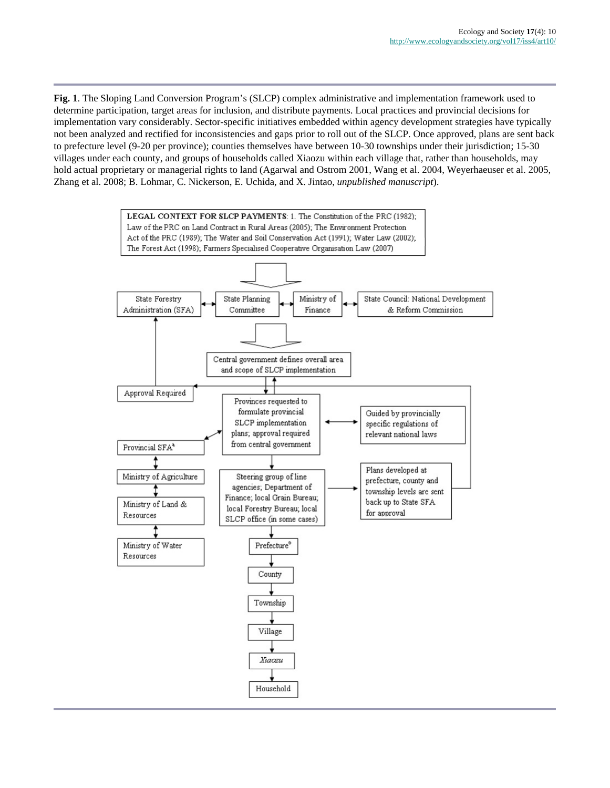**Fig. 1**. The Sloping Land Conversion Program's (SLCP) complex administrative and implementation framework used to determine participation, target areas for inclusion, and distribute payments. Local practices and provincial decisions for implementation vary considerably. Sector-specific initiatives embedded within agency development strategies have typically not been analyzed and rectified for inconsistencies and gaps prior to roll out of the SLCP. Once approved, plans are sent back to prefecture level (9-20 per province); counties themselves have between 10-30 townships under their jurisdiction; 15-30 villages under each county, and groups of households called Xiaozu within each village that, rather than households, may hold actual proprietary or managerial rights to land (Agarwal and Ostrom 2001, Wang et al. 2004, Weyerhaeuser et al. 2005, Zhang et al. 2008; B. Lohmar, C. Nickerson, E. Uchida, and X. Jintao, *unpublished manuscript*).

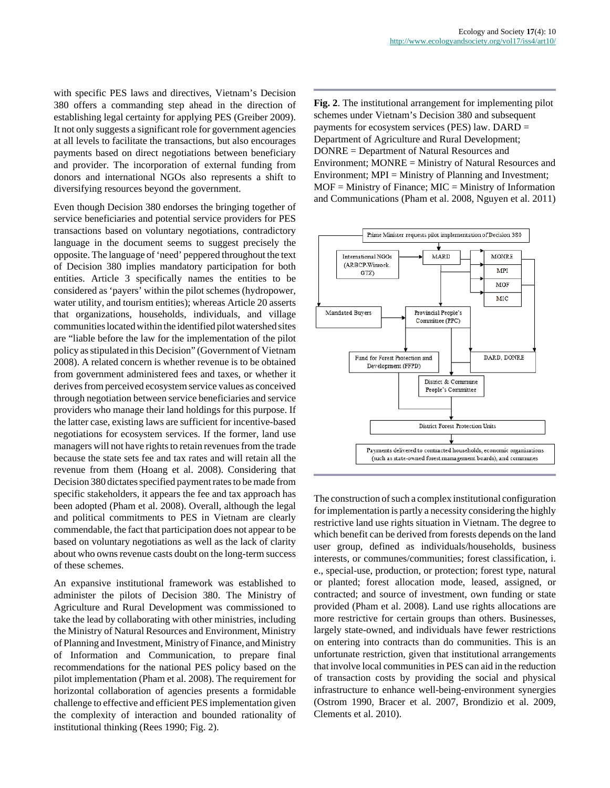with specific PES laws and directives, Vietnam's Decision 380 offers a commanding step ahead in the direction of establishing legal certainty for applying PES (Greiber 2009). It not only suggests a significant role for government agencies at all levels to facilitate the transactions, but also encourages payments based on direct negotiations between beneficiary and provider. The incorporation of external funding from donors and international NGOs also represents a shift to diversifying resources beyond the government.

Even though Decision 380 endorses the bringing together of service beneficiaries and potential service providers for PES transactions based on voluntary negotiations, contradictory language in the document seems to suggest precisely the opposite. The language of 'need' peppered throughout the text of Decision 380 implies mandatory participation for both entities. Article 3 specifically names the entities to be considered as 'payers' within the pilot schemes (hydropower, water utility, and tourism entities); whereas Article 20 asserts that organizations, households, individuals, and village communities located within the identified pilot watershed sites are "liable before the law for the implementation of the pilot policy as stipulated in this Decision" (Government of Vietnam 2008). A related concern is whether revenue is to be obtained from government administered fees and taxes, or whether it derives from perceived ecosystem service values as conceived through negotiation between service beneficiaries and service providers who manage their land holdings for this purpose. If the latter case, existing laws are sufficient for incentive-based negotiations for ecosystem services. If the former, land use managers will not have rights to retain revenues from the trade because the state sets fee and tax rates and will retain all the revenue from them (Hoang et al. 2008). Considering that Decision 380 dictates specified payment rates to be made from specific stakeholders, it appears the fee and tax approach has been adopted (Pham et al. 2008). Overall, although the legal and political commitments to PES in Vietnam are clearly commendable, the fact that participation does not appear to be based on voluntary negotiations as well as the lack of clarity about who owns revenue casts doubt on the long-term success of these schemes.

An expansive institutional framework was established to administer the pilots of Decision 380. The Ministry of Agriculture and Rural Development was commissioned to take the lead by collaborating with other ministries, including the Ministry of Natural Resources and Environment, Ministry of Planning and Investment, Ministry of Finance, and Ministry of Information and Communication, to prepare final recommendations for the national PES policy based on the pilot implementation (Pham et al. 2008). The requirement for horizontal collaboration of agencies presents a formidable challenge to effective and efficient PES implementation given the complexity of interaction and bounded rationality of institutional thinking (Rees 1990; Fig. 2).

**Fig. 2**. The institutional arrangement for implementing pilot schemes under Vietnam's Decision 380 and subsequent payments for ecosystem services (PES) law. DARD = Department of Agriculture and Rural Development; DONRE = Department of Natural Resources and Environment; MONRE = Ministry of Natural Resources and Environment; MPI = Ministry of Planning and Investment;  $MOF =$  Ministry of Finance;  $MIC =$  Ministry of Information and Communications (Pham et al. 2008, Nguyen et al. 2011)



The construction of such a complex institutional configuration for implementation is partly a necessity considering the highly restrictive land use rights situation in Vietnam. The degree to which benefit can be derived from forests depends on the land user group, defined as individuals/households, business interests, or communes/communities; forest classification, i. e., special-use, production, or protection; forest type, natural or planted; forest allocation mode, leased, assigned, or contracted; and source of investment, own funding or state provided (Pham et al. 2008). Land use rights allocations are more restrictive for certain groups than others. Businesses, largely state-owned, and individuals have fewer restrictions on entering into contracts than do communities. This is an unfortunate restriction, given that institutional arrangements that involve local communities in PES can aid in the reduction of transaction costs by providing the social and physical infrastructure to enhance well-being-environment synergies (Ostrom 1990, Bracer et al. 2007, Brondizio et al. 2009, Clements et al. 2010).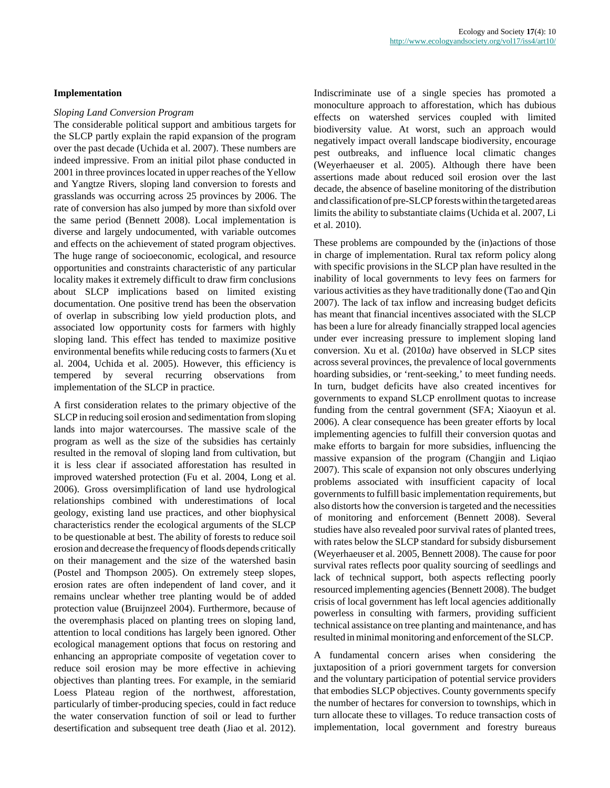#### **Implementation**

#### *Sloping Land Conversion Program*

The considerable political support and ambitious targets for the SLCP partly explain the rapid expansion of the program over the past decade (Uchida et al. 2007). These numbers are indeed impressive. From an initial pilot phase conducted in 2001 in three provinces located in upper reaches of the Yellow and Yangtze Rivers, sloping land conversion to forests and grasslands was occurring across 25 provinces by 2006. The rate of conversion has also jumped by more than sixfold over the same period (Bennett 2008). Local implementation is diverse and largely undocumented, with variable outcomes and effects on the achievement of stated program objectives. The huge range of socioeconomic, ecological, and resource opportunities and constraints characteristic of any particular locality makes it extremely difficult to draw firm conclusions about SLCP implications based on limited existing documentation. One positive trend has been the observation of overlap in subscribing low yield production plots, and associated low opportunity costs for farmers with highly sloping land. This effect has tended to maximize positive environmental benefits while reducing costs to farmers (Xu et al. 2004, Uchida et al. 2005). However, this efficiency is tempered by several recurring observations from implementation of the SLCP in practice.

A first consideration relates to the primary objective of the SLCP in reducing soil erosion and sedimentation from sloping lands into major watercourses. The massive scale of the program as well as the size of the subsidies has certainly resulted in the removal of sloping land from cultivation, but it is less clear if associated afforestation has resulted in improved watershed protection (Fu et al. 2004, Long et al. 2006). Gross oversimplification of land use hydrological relationships combined with underestimations of local geology, existing land use practices, and other biophysical characteristics render the ecological arguments of the SLCP to be questionable at best. The ability of forests to reduce soil erosion and decrease the frequency of floods depends critically on their management and the size of the watershed basin (Postel and Thompson 2005). On extremely steep slopes, erosion rates are often independent of land cover, and it remains unclear whether tree planting would be of added protection value (Bruijnzeel 2004). Furthermore, because of the overemphasis placed on planting trees on sloping land, attention to local conditions has largely been ignored. Other ecological management options that focus on restoring and enhancing an appropriate composite of vegetation cover to reduce soil erosion may be more effective in achieving objectives than planting trees. For example, in the semiarid Loess Plateau region of the northwest, afforestation, particularly of timber-producing species, could in fact reduce the water conservation function of soil or lead to further desertification and subsequent tree death (Jiao et al. 2012). Indiscriminate use of a single species has promoted a monoculture approach to afforestation, which has dubious effects on watershed services coupled with limited biodiversity value. At worst, such an approach would negatively impact overall landscape biodiversity, encourage pest outbreaks, and influence local climatic changes (Weyerhaeuser et al. 2005). Although there have been assertions made about reduced soil erosion over the last decade, the absence of baseline monitoring of the distribution and classification of pre-SLCP forests within the targeted areas limits the ability to substantiate claims (Uchida et al. 2007, Li et al. 2010).

These problems are compounded by the (in)actions of those in charge of implementation. Rural tax reform policy along with specific provisions in the SLCP plan have resulted in the inability of local governments to levy fees on farmers for various activities as they have traditionally done (Tao and Qin 2007). The lack of tax inflow and increasing budget deficits has meant that financial incentives associated with the SLCP has been a lure for already financially strapped local agencies under ever increasing pressure to implement sloping land conversion. Xu et al. (2010*a*) have observed in SLCP sites across several provinces, the prevalence of local governments hoarding subsidies, or 'rent-seeking,' to meet funding needs. In turn, budget deficits have also created incentives for governments to expand SLCP enrollment quotas to increase funding from the central government (SFA; Xiaoyun et al. 2006). A clear consequence has been greater efforts by local implementing agencies to fulfill their conversion quotas and make efforts to bargain for more subsidies, influencing the massive expansion of the program (Changjin and Liqiao 2007). This scale of expansion not only obscures underlying problems associated with insufficient capacity of local governments to fulfill basic implementation requirements, but also distorts how the conversion is targeted and the necessities of monitoring and enforcement (Bennett 2008). Several studies have also revealed poor survival rates of planted trees, with rates below the SLCP standard for subsidy disbursement (Weyerhaeuser et al. 2005, Bennett 2008). The cause for poor survival rates reflects poor quality sourcing of seedlings and lack of technical support, both aspects reflecting poorly resourced implementing agencies (Bennett 2008). The budget crisis of local government has left local agencies additionally powerless in consulting with farmers, providing sufficient technical assistance on tree planting and maintenance, and has resulted in minimal monitoring and enforcement of the SLCP.

A fundamental concern arises when considering the juxtaposition of a priori government targets for conversion and the voluntary participation of potential service providers that embodies SLCP objectives. County governments specify the number of hectares for conversion to townships, which in turn allocate these to villages. To reduce transaction costs of implementation, local government and forestry bureaus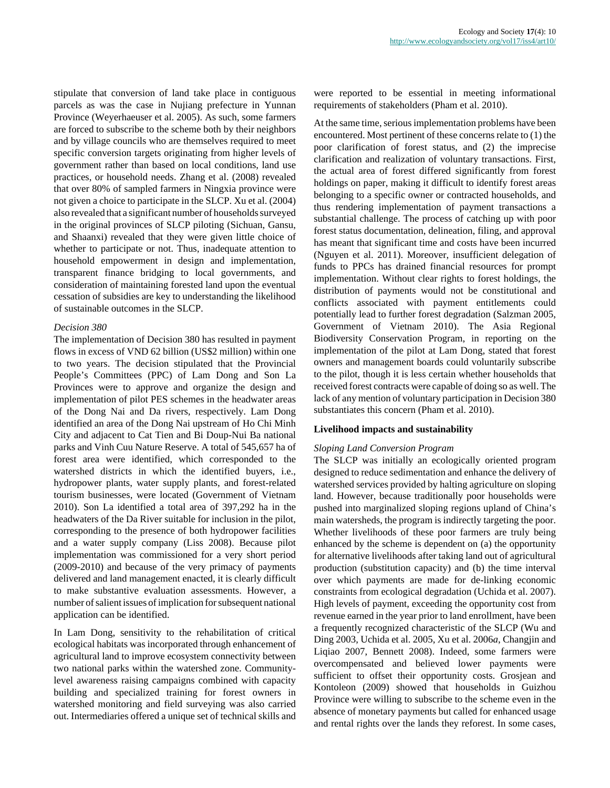stipulate that conversion of land take place in contiguous parcels as was the case in Nujiang prefecture in Yunnan Province (Weyerhaeuser et al. 2005). As such, some farmers are forced to subscribe to the scheme both by their neighbors and by village councils who are themselves required to meet specific conversion targets originating from higher levels of government rather than based on local conditions, land use practices, or household needs. Zhang et al. (2008) revealed that over 80% of sampled farmers in Ningxia province were not given a choice to participate in the SLCP. Xu et al. (2004) also revealed that a significant number of households surveyed in the original provinces of SLCP piloting (Sichuan, Gansu, and Shaanxi) revealed that they were given little choice of whether to participate or not. Thus, inadequate attention to household empowerment in design and implementation, transparent finance bridging to local governments, and consideration of maintaining forested land upon the eventual cessation of subsidies are key to understanding the likelihood of sustainable outcomes in the SLCP.

## *Decision 380*

The implementation of Decision 380 has resulted in payment flows in excess of VND 62 billion (US\$2 million) within one to two years. The decision stipulated that the Provincial People's Committees (PPC) of Lam Dong and Son La Provinces were to approve and organize the design and implementation of pilot PES schemes in the headwater areas of the Dong Nai and Da rivers, respectively. Lam Dong identified an area of the Dong Nai upstream of Ho Chi Minh City and adjacent to Cat Tien and Bi Doup-Nui Ba national parks and Vinh Cuu Nature Reserve. A total of 545,657 ha of forest area were identified, which corresponded to the watershed districts in which the identified buyers, i.e., hydropower plants, water supply plants, and forest-related tourism businesses, were located (Government of Vietnam 2010). Son La identified a total area of 397,292 ha in the headwaters of the Da River suitable for inclusion in the pilot, corresponding to the presence of both hydropower facilities and a water supply company (Liss 2008). Because pilot implementation was commissioned for a very short period (2009-2010) and because of the very primacy of payments delivered and land management enacted, it is clearly difficult to make substantive evaluation assessments. However, a number of salient issues of implication for subsequent national application can be identified.

In Lam Dong, sensitivity to the rehabilitation of critical ecological habitats was incorporated through enhancement of agricultural land to improve ecosystem connectivity between two national parks within the watershed zone. Communitylevel awareness raising campaigns combined with capacity building and specialized training for forest owners in watershed monitoring and field surveying was also carried out. Intermediaries offered a unique set of technical skills and were reported to be essential in meeting informational requirements of stakeholders (Pham et al. 2010).

At the same time, serious implementation problems have been encountered. Most pertinent of these concerns relate to (1) the poor clarification of forest status, and (2) the imprecise clarification and realization of voluntary transactions. First, the actual area of forest differed significantly from forest holdings on paper, making it difficult to identify forest areas belonging to a specific owner or contracted households, and thus rendering implementation of payment transactions a substantial challenge. The process of catching up with poor forest status documentation, delineation, filing, and approval has meant that significant time and costs have been incurred (Nguyen et al. 2011). Moreover, insufficient delegation of funds to PPCs has drained financial resources for prompt implementation. Without clear rights to forest holdings, the distribution of payments would not be constitutional and conflicts associated with payment entitlements could potentially lead to further forest degradation (Salzman 2005, Government of Vietnam 2010). The Asia Regional Biodiversity Conservation Program, in reporting on the implementation of the pilot at Lam Dong, stated that forest owners and management boards could voluntarily subscribe to the pilot, though it is less certain whether households that received forest contracts were capable of doing so as well. The lack of any mention of voluntary participation in Decision 380 substantiates this concern (Pham et al. 2010).

#### **Livelihood impacts and sustainability**

#### *Sloping Land Conversion Program*

The SLCP was initially an ecologically oriented program designed to reduce sedimentation and enhance the delivery of watershed services provided by halting agriculture on sloping land. However, because traditionally poor households were pushed into marginalized sloping regions upland of China's main watersheds, the program is indirectly targeting the poor. Whether livelihoods of these poor farmers are truly being enhanced by the scheme is dependent on (a) the opportunity for alternative livelihoods after taking land out of agricultural production (substitution capacity) and (b) the time interval over which payments are made for de-linking economic constraints from ecological degradation (Uchida et al. 2007). High levels of payment, exceeding the opportunity cost from revenue earned in the year prior to land enrollment, have been a frequently recognized characteristic of the SLCP (Wu and Ding 2003, Uchida et al. 2005, Xu et al. 2006*a*, Changjin and Liqiao 2007, Bennett 2008). Indeed, some farmers were overcompensated and believed lower payments were sufficient to offset their opportunity costs. Grosjean and Kontoleon (2009) showed that households in Guizhou Province were willing to subscribe to the scheme even in the absence of monetary payments but called for enhanced usage and rental rights over the lands they reforest. In some cases,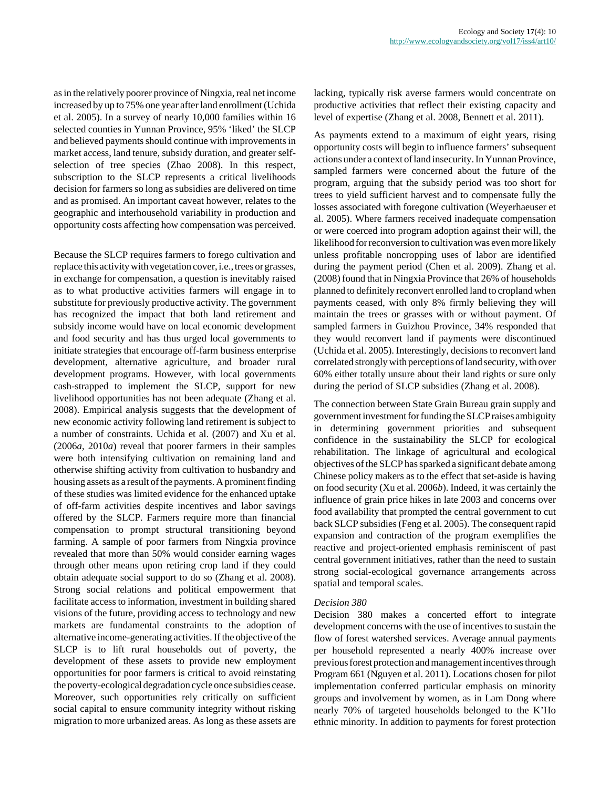as in the relatively poorer province of Ningxia, real net income increased by up to 75% one year after land enrollment (Uchida et al. 2005). In a survey of nearly 10,000 families within 16 selected counties in Yunnan Province, 95% 'liked' the SLCP and believed payments should continue with improvements in market access, land tenure, subsidy duration, and greater selfselection of tree species (Zhao 2008). In this respect, subscription to the SLCP represents a critical livelihoods decision for farmers so long as subsidies are delivered on time and as promised. An important caveat however, relates to the geographic and interhousehold variability in production and opportunity costs affecting how compensation was perceived.

Because the SLCP requires farmers to forego cultivation and replace this activity with vegetation cover, i.e., trees or grasses, in exchange for compensation, a question is inevitably raised as to what productive activities farmers will engage in to substitute for previously productive activity. The government has recognized the impact that both land retirement and subsidy income would have on local economic development and food security and has thus urged local governments to initiate strategies that encourage off-farm business enterprise development, alternative agriculture, and broader rural development programs. However, with local governments cash-strapped to implement the SLCP, support for new livelihood opportunities has not been adequate (Zhang et al. 2008). Empirical analysis suggests that the development of new economic activity following land retirement is subject to a number of constraints. Uchida et al. (2007) and Xu et al. (2006*a*, 2010*a*) reveal that poorer farmers in their samples were both intensifying cultivation on remaining land and otherwise shifting activity from cultivation to husbandry and housing assets as a result of the payments. A prominent finding of these studies was limited evidence for the enhanced uptake of off-farm activities despite incentives and labor savings offered by the SLCP. Farmers require more than financial compensation to prompt structural transitioning beyond farming. A sample of poor farmers from Ningxia province revealed that more than 50% would consider earning wages through other means upon retiring crop land if they could obtain adequate social support to do so (Zhang et al. 2008). Strong social relations and political empowerment that facilitate access to information, investment in building shared visions of the future, providing access to technology and new markets are fundamental constraints to the adoption of alternative income-generating activities. If the objective of the SLCP is to lift rural households out of poverty, the development of these assets to provide new employment opportunities for poor farmers is critical to avoid reinstating the poverty-ecological degradation cycle once subsidies cease. Moreover, such opportunities rely critically on sufficient social capital to ensure community integrity without risking migration to more urbanized areas. As long as these assets are

lacking, typically risk averse farmers would concentrate on productive activities that reflect their existing capacity and level of expertise (Zhang et al. 2008, Bennett et al. 2011).

As payments extend to a maximum of eight years, rising opportunity costs will begin to influence farmers' subsequent actions under a context of land insecurity. In Yunnan Province, sampled farmers were concerned about the future of the program, arguing that the subsidy period was too short for trees to yield sufficient harvest and to compensate fully the losses associated with foregone cultivation (Weyerhaeuser et al. 2005). Where farmers received inadequate compensation or were coerced into program adoption against their will, the likelihood for reconversion to cultivation was even more likely unless profitable noncropping uses of labor are identified during the payment period (Chen et al. 2009). Zhang et al. (2008) found that in Ningxia Province that 26% of households planned to definitely reconvert enrolled land to cropland when payments ceased, with only 8% firmly believing they will maintain the trees or grasses with or without payment. Of sampled farmers in Guizhou Province, 34% responded that they would reconvert land if payments were discontinued (Uchida et al. 2005). Interestingly, decisions to reconvert land correlated strongly with perceptions of land security, with over 60% either totally unsure about their land rights or sure only during the period of SLCP subsidies (Zhang et al. 2008).

The connection between State Grain Bureau grain supply and government investment for funding the SLCP raises ambiguity in determining government priorities and subsequent confidence in the sustainability the SLCP for ecological rehabilitation. The linkage of agricultural and ecological objectives of the SLCP has sparked a significant debate among Chinese policy makers as to the effect that set-aside is having on food security (Xu et al. 2006*b*). Indeed, it was certainly the influence of grain price hikes in late 2003 and concerns over food availability that prompted the central government to cut back SLCP subsidies (Feng et al. 2005). The consequent rapid expansion and contraction of the program exemplifies the reactive and project-oriented emphasis reminiscent of past central government initiatives, rather than the need to sustain strong social-ecological governance arrangements across spatial and temporal scales.

#### *Decision 380*

Decision 380 makes a concerted effort to integrate development concerns with the use of incentives to sustain the flow of forest watershed services. Average annual payments per household represented a nearly 400% increase over previous forest protection and management incentives through Program 661 (Nguyen et al. 2011). Locations chosen for pilot implementation conferred particular emphasis on minority groups and involvement by women, as in Lam Dong where nearly 70% of targeted households belonged to the K'Ho ethnic minority. In addition to payments for forest protection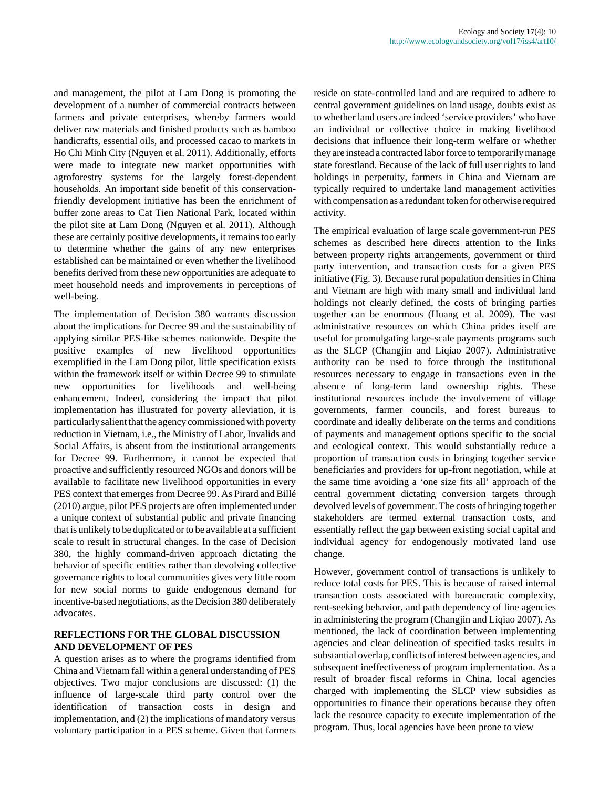and management, the pilot at Lam Dong is promoting the development of a number of commercial contracts between farmers and private enterprises, whereby farmers would deliver raw materials and finished products such as bamboo handicrafts, essential oils, and processed cacao to markets in Ho Chi Minh City (Nguyen et al. 2011). Additionally, efforts were made to integrate new market opportunities with agroforestry systems for the largely forest-dependent households. An important side benefit of this conservationfriendly development initiative has been the enrichment of buffer zone areas to Cat Tien National Park, located within the pilot site at Lam Dong (Nguyen et al. 2011). Although these are certainly positive developments, it remains too early to determine whether the gains of any new enterprises established can be maintained or even whether the livelihood benefits derived from these new opportunities are adequate to meet household needs and improvements in perceptions of well-being.

The implementation of Decision 380 warrants discussion about the implications for Decree 99 and the sustainability of applying similar PES-like schemes nationwide. Despite the positive examples of new livelihood opportunities exemplified in the Lam Dong pilot, little specification exists within the framework itself or within Decree 99 to stimulate new opportunities for livelihoods and well-being enhancement. Indeed, considering the impact that pilot implementation has illustrated for poverty alleviation, it is particularly salient that the agency commissioned with poverty reduction in Vietnam, i.e., the Ministry of Labor, Invalids and Social Affairs, is absent from the institutional arrangements for Decree 99. Furthermore, it cannot be expected that proactive and sufficiently resourced NGOs and donors will be available to facilitate new livelihood opportunities in every PES context that emerges from Decree 99. As Pirard and Billé (2010) argue, pilot PES projects are often implemented under a unique context of substantial public and private financing that is unlikely to be duplicated or to be available at a sufficient scale to result in structural changes. In the case of Decision 380, the highly command-driven approach dictating the behavior of specific entities rather than devolving collective governance rights to local communities gives very little room for new social norms to guide endogenous demand for incentive-based negotiations, as the Decision 380 deliberately advocates.

#### **REFLECTIONS FOR THE GLOBAL DISCUSSION AND DEVELOPMENT OF PES**

A question arises as to where the programs identified from China and Vietnam fall within a general understanding of PES objectives. Two major conclusions are discussed: (1) the influence of large-scale third party control over the identification of transaction costs in design and implementation, and (2) the implications of mandatory versus voluntary participation in a PES scheme. Given that farmers reside on state-controlled land and are required to adhere to central government guidelines on land usage, doubts exist as to whether land users are indeed 'service providers' who have an individual or collective choice in making livelihood decisions that influence their long-term welfare or whether they are instead a contracted labor force to temporarily manage state forestland. Because of the lack of full user rights to land holdings in perpetuity, farmers in China and Vietnam are typically required to undertake land management activities with compensation as a redundant token for otherwise required activity.

The empirical evaluation of large scale government-run PES schemes as described here directs attention to the links between property rights arrangements, government or third party intervention, and transaction costs for a given PES initiative (Fig. 3). Because rural population densities in China and Vietnam are high with many small and individual land holdings not clearly defined, the costs of bringing parties together can be enormous (Huang et al. 2009). The vast administrative resources on which China prides itself are useful for promulgating large-scale payments programs such as the SLCP (Changjin and Liqiao 2007). Administrative authority can be used to force through the institutional resources necessary to engage in transactions even in the absence of long-term land ownership rights. These institutional resources include the involvement of village governments, farmer councils, and forest bureaus to coordinate and ideally deliberate on the terms and conditions of payments and management options specific to the social and ecological context. This would substantially reduce a proportion of transaction costs in bringing together service beneficiaries and providers for up-front negotiation, while at the same time avoiding a 'one size fits all' approach of the central government dictating conversion targets through devolved levels of government. The costs of bringing together stakeholders are termed external transaction costs, and essentially reflect the gap between existing social capital and individual agency for endogenously motivated land use change.

However, government control of transactions is unlikely to reduce total costs for PES. This is because of raised internal transaction costs associated with bureaucratic complexity, rent-seeking behavior, and path dependency of line agencies in administering the program (Changjin and Liqiao 2007). As mentioned, the lack of coordination between implementing agencies and clear delineation of specified tasks results in substantial overlap, conflicts of interest between agencies, and subsequent ineffectiveness of program implementation. As a result of broader fiscal reforms in China, local agencies charged with implementing the SLCP view subsidies as opportunities to finance their operations because they often lack the resource capacity to execute implementation of the program. Thus, local agencies have been prone to view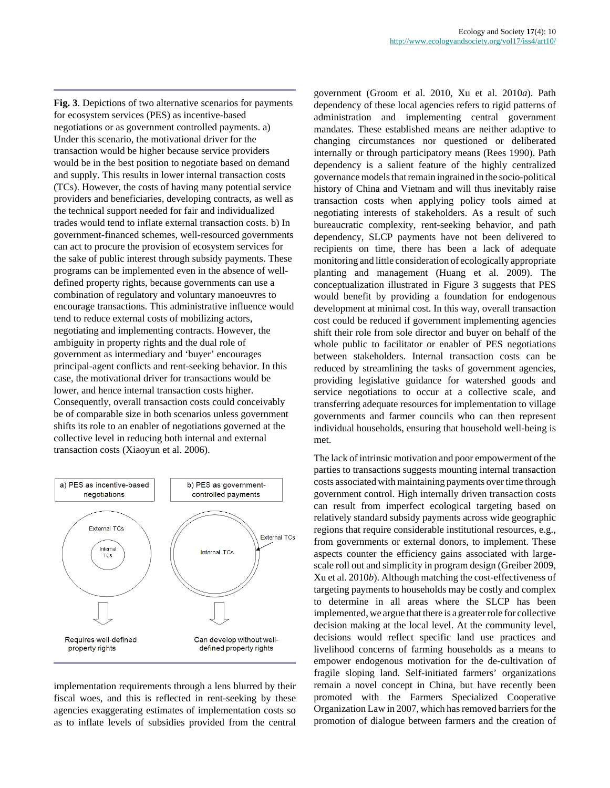**Fig. 3**. Depictions of two alternative scenarios for payments for ecosystem services (PES) as incentive-based negotiations or as government controlled payments. a) Under this scenario, the motivational driver for the transaction would be higher because service providers would be in the best position to negotiate based on demand and supply. This results in lower internal transaction costs (TCs). However, the costs of having many potential service providers and beneficiaries, developing contracts, as well as the technical support needed for fair and individualized trades would tend to inflate external transaction costs. b) In government-financed schemes, well-resourced governments can act to procure the provision of ecosystem services for the sake of public interest through subsidy payments. These programs can be implemented even in the absence of welldefined property rights, because governments can use a combination of regulatory and voluntary manoeuvres to encourage transactions. This administrative influence would tend to reduce external costs of mobilizing actors, negotiating and implementing contracts. However, the ambiguity in property rights and the dual role of government as intermediary and 'buyer' encourages principal-agent conflicts and rent-seeking behavior. In this case, the motivational driver for transactions would be lower, and hence internal transaction costs higher. Consequently, overall transaction costs could conceivably be of comparable size in both scenarios unless government shifts its role to an enabler of negotiations governed at the collective level in reducing both internal and external transaction costs (Xiaoyun et al. 2006).



implementation requirements through a lens blurred by their fiscal woes, and this is reflected in rent-seeking by these agencies exaggerating estimates of implementation costs so as to inflate levels of subsidies provided from the central government (Groom et al. 2010, Xu et al. 2010*a*). Path dependency of these local agencies refers to rigid patterns of administration and implementing central government mandates. These established means are neither adaptive to changing circumstances nor questioned or deliberated internally or through participatory means (Rees 1990). Path dependency is a salient feature of the highly centralized governance models that remain ingrained in the socio-political history of China and Vietnam and will thus inevitably raise transaction costs when applying policy tools aimed at negotiating interests of stakeholders. As a result of such bureaucratic complexity, rent-seeking behavior, and path dependency, SLCP payments have not been delivered to recipients on time, there has been a lack of adequate monitoring and little consideration of ecologically appropriate planting and management (Huang et al. 2009). The conceptualization illustrated in Figure 3 suggests that PES would benefit by providing a foundation for endogenous development at minimal cost. In this way, overall transaction cost could be reduced if government implementing agencies shift their role from sole director and buyer on behalf of the whole public to facilitator or enabler of PES negotiations between stakeholders. Internal transaction costs can be reduced by streamlining the tasks of government agencies, providing legislative guidance for watershed goods and service negotiations to occur at a collective scale, and transferring adequate resources for implementation to village governments and farmer councils who can then represent individual households, ensuring that household well-being is met.

The lack of intrinsic motivation and poor empowerment of the parties to transactions suggests mounting internal transaction costs associated with maintaining payments over time through government control. High internally driven transaction costs can result from imperfect ecological targeting based on relatively standard subsidy payments across wide geographic regions that require considerable institutional resources, e.g., from governments or external donors, to implement. These aspects counter the efficiency gains associated with largescale roll out and simplicity in program design (Greiber 2009, Xu et al. 2010*b*). Although matching the cost-effectiveness of targeting payments to households may be costly and complex to determine in all areas where the SLCP has been implemented, we argue that there is a greater role for collective decision making at the local level. At the community level, decisions would reflect specific land use practices and livelihood concerns of farming households as a means to empower endogenous motivation for the de-cultivation of fragile sloping land. Self-initiated farmers' organizations remain a novel concept in China, but have recently been promoted with the Farmers Specialized Cooperative Organization Law in 2007, which has removed barriers for the promotion of dialogue between farmers and the creation of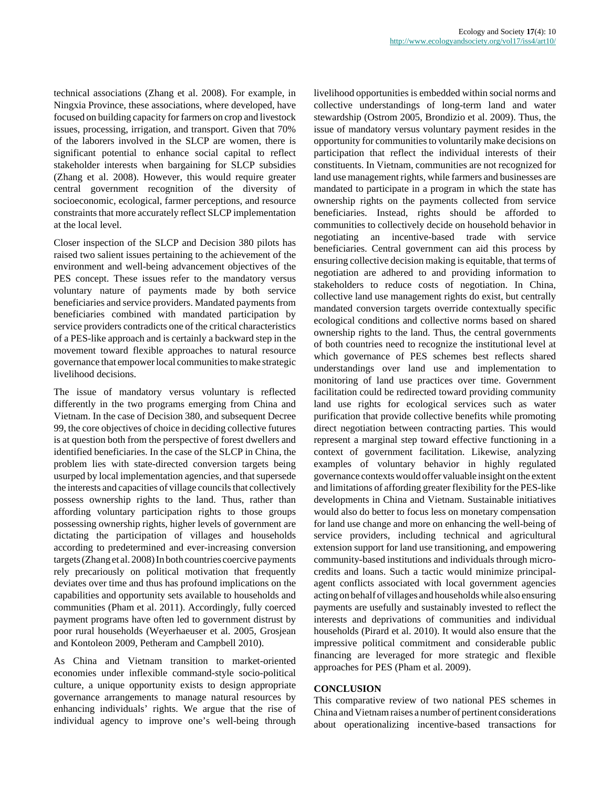technical associations (Zhang et al. 2008). For example, in Ningxia Province, these associations, where developed, have focused on building capacity for farmers on crop and livestock issues, processing, irrigation, and transport. Given that 70% of the laborers involved in the SLCP are women, there is significant potential to enhance social capital to reflect stakeholder interests when bargaining for SLCP subsidies (Zhang et al. 2008). However, this would require greater central government recognition of the diversity of socioeconomic, ecological, farmer perceptions, and resource constraints that more accurately reflect SLCP implementation at the local level.

Closer inspection of the SLCP and Decision 380 pilots has raised two salient issues pertaining to the achievement of the environment and well-being advancement objectives of the PES concept. These issues refer to the mandatory versus voluntary nature of payments made by both service beneficiaries and service providers. Mandated payments from beneficiaries combined with mandated participation by service providers contradicts one of the critical characteristics of a PES-like approach and is certainly a backward step in the movement toward flexible approaches to natural resource governance that empower local communities to make strategic livelihood decisions.

The issue of mandatory versus voluntary is reflected differently in the two programs emerging from China and Vietnam. In the case of Decision 380, and subsequent Decree 99, the core objectives of choice in deciding collective futures is at question both from the perspective of forest dwellers and identified beneficiaries. In the case of the SLCP in China, the problem lies with state-directed conversion targets being usurped by local implementation agencies, and that supersede the interests and capacities of village councils that collectively possess ownership rights to the land. Thus, rather than affording voluntary participation rights to those groups possessing ownership rights, higher levels of government are dictating the participation of villages and households according to predetermined and ever-increasing conversion targets (Zhang et al. 2008) In both countries coercive payments rely precariously on political motivation that frequently deviates over time and thus has profound implications on the capabilities and opportunity sets available to households and communities (Pham et al. 2011). Accordingly, fully coerced payment programs have often led to government distrust by poor rural households (Weyerhaeuser et al. 2005, Grosjean and Kontoleon 2009, Petheram and Campbell 2010).

As China and Vietnam transition to market-oriented economies under inflexible command-style socio-political culture, a unique opportunity exists to design appropriate governance arrangements to manage natural resources by enhancing individuals' rights. We argue that the rise of individual agency to improve one's well-being through livelihood opportunities is embedded within social norms and collective understandings of long-term land and water stewardship (Ostrom 2005, Brondizio et al. 2009). Thus, the issue of mandatory versus voluntary payment resides in the opportunity for communities to voluntarily make decisions on participation that reflect the individual interests of their constituents. In Vietnam, communities are not recognized for land use management rights, while farmers and businesses are mandated to participate in a program in which the state has ownership rights on the payments collected from service beneficiaries. Instead, rights should be afforded to communities to collectively decide on household behavior in negotiating an incentive-based trade with service beneficiaries. Central government can aid this process by ensuring collective decision making is equitable, that terms of negotiation are adhered to and providing information to stakeholders to reduce costs of negotiation. In China, collective land use management rights do exist, but centrally mandated conversion targets override contextually specific ecological conditions and collective norms based on shared ownership rights to the land. Thus, the central governments of both countries need to recognize the institutional level at which governance of PES schemes best reflects shared understandings over land use and implementation to monitoring of land use practices over time. Government facilitation could be redirected toward providing community land use rights for ecological services such as water purification that provide collective benefits while promoting direct negotiation between contracting parties. This would represent a marginal step toward effective functioning in a context of government facilitation. Likewise, analyzing examples of voluntary behavior in highly regulated governance contexts would offer valuable insight on the extent and limitations of affording greater flexibility for the PES-like developments in China and Vietnam. Sustainable initiatives would also do better to focus less on monetary compensation for land use change and more on enhancing the well-being of service providers, including technical and agricultural extension support for land use transitioning, and empowering community-based institutions and individuals through microcredits and loans. Such a tactic would minimize principalagent conflicts associated with local government agencies acting on behalf of villages and households while also ensuring payments are usefully and sustainably invested to reflect the interests and deprivations of communities and individual households (Pirard et al. 2010). It would also ensure that the impressive political commitment and considerable public financing are leveraged for more strategic and flexible approaches for PES (Pham et al. 2009).

# **CONCLUSION**

This comparative review of two national PES schemes in China and Vietnam raises a number of pertinent considerations about operationalizing incentive-based transactions for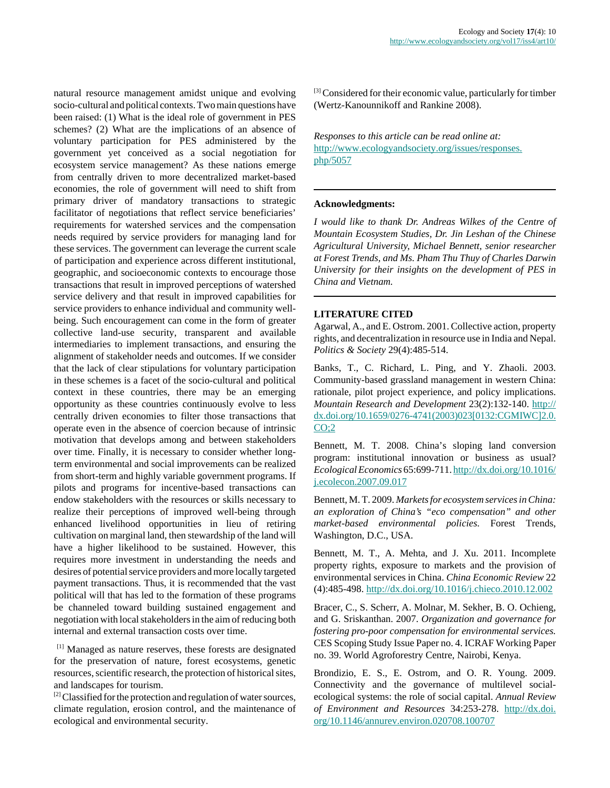natural resource management amidst unique and evolving socio-cultural and political contexts. Two main questions have been raised: (1) What is the ideal role of government in PES schemes? (2) What are the implications of an absence of voluntary participation for PES administered by the government yet conceived as a social negotiation for ecosystem service management? As these nations emerge from centrally driven to more decentralized market-based economies, the role of government will need to shift from primary driver of mandatory transactions to strategic facilitator of negotiations that reflect service beneficiaries' requirements for watershed services and the compensation needs required by service providers for managing land for these services. The government can leverage the current scale of participation and experience across different institutional, geographic, and socioeconomic contexts to encourage those transactions that result in improved perceptions of watershed service delivery and that result in improved capabilities for service providers to enhance individual and community wellbeing. Such encouragement can come in the form of greater collective land-use security, transparent and available intermediaries to implement transactions, and ensuring the alignment of stakeholder needs and outcomes. If we consider that the lack of clear stipulations for voluntary participation in these schemes is a facet of the socio-cultural and political context in these countries, there may be an emerging opportunity as these countries continuously evolve to less centrally driven economies to filter those transactions that operate even in the absence of coercion because of intrinsic motivation that develops among and between stakeholders over time. Finally, it is necessary to consider whether longterm environmental and social improvements can be realized from short-term and highly variable government programs. If pilots and programs for incentive-based transactions can endow stakeholders with the resources or skills necessary to realize their perceptions of improved well-being through enhanced livelihood opportunities in lieu of retiring cultivation on marginal land, then stewardship of the land will have a higher likelihood to be sustained. However, this requires more investment in understanding the needs and desires of potential service providers and more locally targeted payment transactions. Thus, it is recommended that the vast political will that has led to the formation of these programs be channeled toward building sustained engagement and negotiation with local stakeholders in the aim of reducing both internal and external transaction costs over time.

[1] Managed as nature reserves, these forests are designated for the preservation of nature, forest ecosystems, genetic resources, scientific research, the protection of historical sites, and landscapes for tourism.

<sup>[2]</sup> Classified for the protection and regulation of water sources, climate regulation, erosion control, and the maintenance of ecological and environmental security.

<sup>[3]</sup> Considered for their economic value, particularly for timber (Wertz-Kanounnikoff and Rankine 2008).

*Responses to this article can be read online at:* [http://www.ecologyandsociety.org/issues/responses.](http://www.ecologyandsociety.org/issues/responses.php/5057) [php/5057](http://www.ecologyandsociety.org/issues/responses.php/5057)

#### **Acknowledgments:**

*I would like to thank Dr. Andreas Wilkes of the Centre of Mountain Ecosystem Studies, Dr. Jin Leshan of the Chinese Agricultural University, Michael Bennett, senior researcher at Forest Trends, and Ms. Pham Thu Thuy of Charles Darwin University for their insights on the development of PES in China and Vietnam.*

#### **LITERATURE CITED**

Agarwal, A., and E. Ostrom. 2001. Collective action, property rights, and decentralization in resource use in India and Nepal. *Politics & Society* 29(4):485-514.

Banks, T., C. Richard, L. Ping, and Y. Zhaoli. 2003. Community-based grassland management in western China: rationale, pilot project experience, and policy implications. *Mountain Research and Development* 23(2):132-140. [http://](http://dx.doi.org/10.1659/0276-4741(2003)023[0132:CGMIWC]2.0.CO;2) [dx.doi.org/10.1659/0276-4741\(2003\)023\[0132:CGMIWC\]2.0.](http://dx.doi.org/10.1659/0276-4741(2003)023[0132:CGMIWC]2.0.CO;2) [CO;2](http://dx.doi.org/10.1659/0276-4741(2003)023[0132:CGMIWC]2.0.CO;2)

Bennett, M. T. 2008. China's sloping land conversion program: institutional innovation or business as usual? *Ecological Economics* 65:699-711. [http://dx.doi.org/10.1016/](http://dx.doi.org/10.1016/j.ecolecon.2007.09.017) [j.ecolecon.2007.09.017](http://dx.doi.org/10.1016/j.ecolecon.2007.09.017)

Bennett, M. T. 2009. *Markets for ecosystem services in China: an exploration of China's "eco compensation" and other market-based environmental policies.* Forest Trends, Washington, D.C., USA.

Bennett, M. T., A. Mehta, and J. Xu. 2011. Incomplete property rights, exposure to markets and the provision of environmental services in China. *China Economic Review* 22 (4):485-498. <http://dx.doi.org/10.1016/j.chieco.2010.12.002>

Bracer, C., S. Scherr, A. Molnar, M. Sekher, B. O. Ochieng, and G. Sriskanthan. 2007. *Organization and governance for fostering pro-poor compensation for environmental services.* CES Scoping Study Issue Paper no. 4. ICRAF Working Paper no. 39. World Agroforestry Centre, Nairobi, Kenya.

Brondizio, E. S., E. Ostrom, and O. R. Young. 2009. Connectivity and the governance of multilevel socialecological systems: the role of social capital. *Annual Review of Environment and Resources* 34:253-278. [http://dx.doi.](http://dx.doi.org/10.1146/annurev.environ.020708.100707) [org/10.1146/annurev.environ.020708.100707](http://dx.doi.org/10.1146/annurev.environ.020708.100707)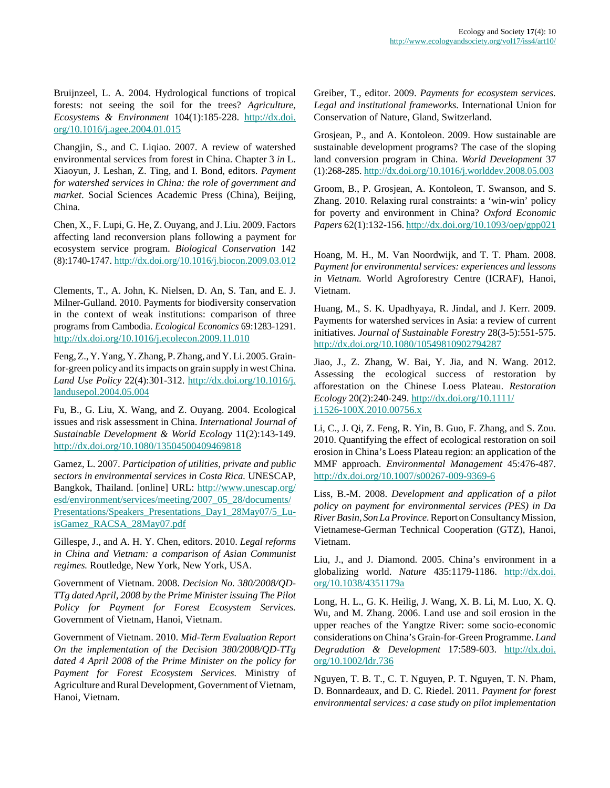Bruijnzeel, L. A. 2004. Hydrological functions of tropical forests: not seeing the soil for the trees? *Agriculture, Ecosystems & Environment* 104(1):185-228. [http://dx.doi.](http://dx.doi.org/10.1016/j.agee.2004.01.015) [org/10.1016/j.agee.2004.01.015](http://dx.doi.org/10.1016/j.agee.2004.01.015)

Changjin, S., and C. Liqiao. 2007. A review of watershed environmental services from forest in China. Chapter 3 *in* L. Xiaoyun, J. Leshan, Z. Ting, and I. Bond, editors. *Payment for watershed services in China: the role of government and market*. Social Sciences Academic Press (China), Beijing, China.

Chen, X., F. Lupi, G. He, Z. Ouyang, and J. Liu. 2009. Factors affecting land reconversion plans following a payment for ecosystem service program. *Biological Conservation* 142 (8):1740-1747. <http://dx.doi.org/10.1016/j.biocon.2009.03.012>

Clements, T., A. John, K. Nielsen, D. An, S. Tan, and E. J. Milner-Gulland. 2010. Payments for biodiversity conservation in the context of weak institutions: comparison of three programs from Cambodia. *Ecological Economics* 69:1283-1291. <http://dx.doi.org/10.1016/j.ecolecon.2009.11.010>

Feng, Z., Y. Yang, Y. Zhang, P. Zhang, and Y. Li. 2005. Grainfor-green policy and its impacts on grain supply in west China. *Land Use Policy* 22(4):301-312. [http://dx.doi.org/10.1016/j.](http://dx.doi.org/10.1016/j.landusepol.2004.05.004) [landusepol.2004.05.004](http://dx.doi.org/10.1016/j.landusepol.2004.05.004) 

Fu, B., G. Liu, X. Wang, and Z. Ouyang. 2004. Ecological issues and risk assessment in China. *International Journal of Sustainable Development & World Ecology* 11(2):143-149. <http://dx.doi.org/10.1080/13504500409469818>

Gamez, L. 2007. *Participation of utilities, private and public sectors in environmental services in Costa Rica.* UNESCAP, Bangkok, Thailand. [online] URL: [http://www.unescap.org/](http://www.unescap.org/esd/environment/services/meeting/2007_05_28/documents/Presentations/Speakers_Presentations_Day1_28May07/5_LuisGamez_RACSA_28May07.pdf) [esd/environment/services/meeting/2007\\_05\\_28/documents/](http://www.unescap.org/esd/environment/services/meeting/2007_05_28/documents/Presentations/Speakers_Presentations_Day1_28May07/5_LuisGamez_RACSA_28May07.pdf) [Presentations/Speakers\\_Presentations\\_Day1\\_28May07/5\\_Lu](http://www.unescap.org/esd/environment/services/meeting/2007_05_28/documents/Presentations/Speakers_Presentations_Day1_28May07/5_LuisGamez_RACSA_28May07.pdf)[isGamez\\_RACSA\\_28May07.pdf](http://www.unescap.org/esd/environment/services/meeting/2007_05_28/documents/Presentations/Speakers_Presentations_Day1_28May07/5_LuisGamez_RACSA_28May07.pdf)

Gillespe, J., and A. H. Y. Chen, editors. 2010. *Legal reforms in China and Vietnam: a comparison of Asian Communist regimes.* Routledge, New York, New York, USA.

Government of Vietnam. 2008. *Decision No. 380/2008/QD-TTg dated April, 2008 by the Prime Minister issuing The Pilot Policy for Payment for Forest Ecosystem Services.* Government of Vietnam, Hanoi, Vietnam.

Government of Vietnam. 2010. *Mid-Term Evaluation Report On the implementation of the Decision 380/2008/QD-TTg dated 4 April 2008 of the Prime Minister on the policy for Payment for Forest Ecosystem Services.* Ministry of Agriculture and Rural Development, Government of Vietnam, Hanoi, Vietnam.

Greiber, T., editor. 2009. *Payments for ecosystem services. Legal and institutional frameworks.* International Union for Conservation of Nature, Gland, Switzerland.

Grosjean, P., and A. Kontoleon. 2009. How sustainable are sustainable development programs? The case of the sloping land conversion program in China. *World Development* 37 (1):268-285. <http://dx.doi.org/10.1016/j.worlddev.2008.05.003>

Groom, B., P. Grosjean, A. Kontoleon, T. Swanson, and S. Zhang. 2010. Relaxing rural constraints: a 'win-win' policy for poverty and environment in China? *Oxford Economic Papers* 62(1):132-156.<http://dx.doi.org/10.1093/oep/gpp021>

Hoang, M. H., M. Van Noordwijk, and T. T. Pham. 2008. *Payment for environmental services: experiences and lessons in Vietnam.* World Agroforestry Centre (ICRAF), Hanoi, Vietnam.

Huang, M., S. K. Upadhyaya, R. Jindal, and J. Kerr. 2009. Payments for watershed services in Asia: a review of current initiatives. *Journal of Sustainable Forestry* 28(3-5):551-575. <http://dx.doi.org/10.1080/10549810902794287>

Jiao, J., Z. Zhang, W. Bai, Y. Jia, and N. Wang. 2012. Assessing the ecological success of restoration by afforestation on the Chinese Loess Plateau. *Restoration Ecology* 20(2):240-249. [http://dx.doi.org/10.1111/](http://dx.doi.org/10.1111/j.1526-100X.2010.00756.x) [j.1526-100X.2010.00756.x](http://dx.doi.org/10.1111/j.1526-100X.2010.00756.x)

Li, C., J. Qi, Z. Feng, R. Yin, B. Guo, F. Zhang, and S. Zou. 2010. Quantifying the effect of ecological restoration on soil erosion in China's Loess Plateau region: an application of the MMF approach. *Environmental Management* 45:476-487. <http://dx.doi.org/10.1007/s00267-009-9369-6>

Liss, B.-M. 2008. *Development and application of a pilot policy on payment for environmental services (PES) in Da River Basin, Son La Province.* Report on Consultancy Mission, Vietnamese-German Technical Cooperation (GTZ), Hanoi, Vietnam.

Liu, J., and J. Diamond. 2005. China's environment in a globalizing world. *Nature* 435:1179-1186. [http://dx.doi.](http://dx.doi.org/10.1038/4351179a) [org/10.1038/4351179a](http://dx.doi.org/10.1038/4351179a)

Long, H. L., G. K. Heilig, J. Wang, X. B. Li, M. Luo, X. Q. Wu, and M. Zhang. 2006. Land use and soil erosion in the upper reaches of the Yangtze River: some socio-economic considerations on China's Grain-for-Green Programme. *Land Degradation & Development* 17:589-603. [http://dx.doi.](http://dx.doi.org/10.1002/ldr.736) [org/10.1002/ldr.736](http://dx.doi.org/10.1002/ldr.736)

Nguyen, T. B. T., C. T. Nguyen, P. T. Nguyen, T. N. Pham, D. Bonnardeaux, and D. C. Riedel. 2011. *Payment for forest environmental services: a case study on pilot implementation*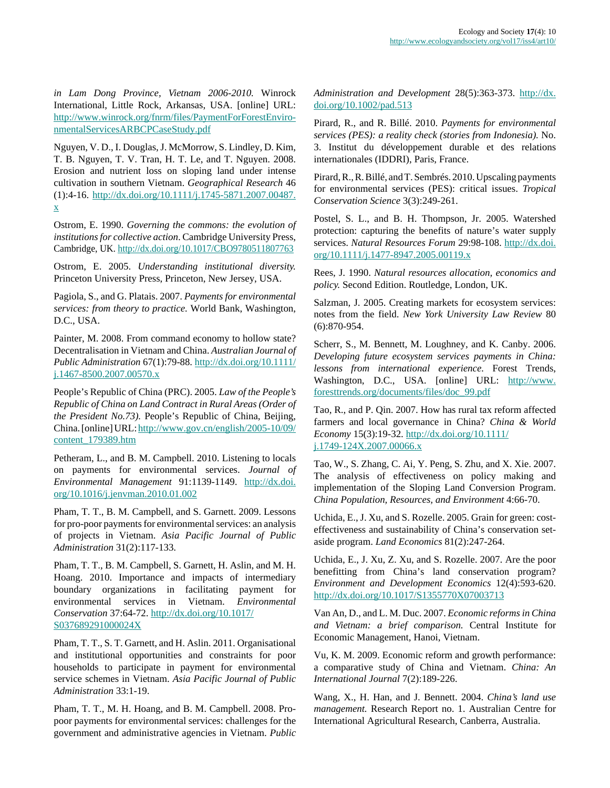*in Lam Dong Province, Vietnam 2006-2010.* Winrock International, Little Rock, Arkansas, USA. [online] URL: [http://www.winrock.org/fnrm/files/PaymentForForestEnviro](http://www.winrock.org/fnrm/files/PaymentForForestEnvironmentalServicesARBCPCaseStudy.pdf)[nmentalServicesARBCPCaseStudy.pdf](http://www.winrock.org/fnrm/files/PaymentForForestEnvironmentalServicesARBCPCaseStudy.pdf) 

Nguyen, V. D., I. Douglas, J. McMorrow, S. Lindley, D. Kim, T. B. Nguyen, T. V. Tran, H. T. Le, and T. Nguyen. 2008. Erosion and nutrient loss on sloping land under intense cultivation in southern Vietnam. *Geographical Research* 46 (1):4-16. [http://dx.doi.org/10.1111/j.1745-5871.2007.00487.](http://dx.doi.org/10.1111/j.1745-5871.2007.00487.x) [x](http://dx.doi.org/10.1111/j.1745-5871.2007.00487.x)

Ostrom, E. 1990. *Governing the commons: the evolution of institutions for collective action*. Cambridge University Press, Cambridge, UK.<http://dx.doi.org/10.1017/CBO9780511807763>

Ostrom, E. 2005. *Understanding institutional diversity.* Princeton University Press, Princeton, New Jersey, USA.

Pagiola, S., and G. Platais. 2007. *Payments for environmental services: from theory to practice.* World Bank, Washington, D.C., USA.

Painter, M. 2008. From command economy to hollow state? Decentralisation in Vietnam and China. *Australian Journal of Public Administration* 67(1):79-88. [http://dx.doi.org/10.1111/](http://dx.doi.org/10.1111/j.1467-8500.2007.00570.x) [j.1467-8500.2007.00570.x](http://dx.doi.org/10.1111/j.1467-8500.2007.00570.x)

People's Republic of China (PRC). 2005. *Law of the People's Republic of China on Land Contract in Rural Areas (Order of the President No.73).* People's Republic of China, Beijing, China. [online] URL: [http://www.gov.cn/english/2005-10/09/](http://www.gov.cn/english/2005-10/09/content_179389.htm) [content\\_179389.htm](http://www.gov.cn/english/2005-10/09/content_179389.htm)

Petheram, L., and B. M. Campbell. 2010. Listening to locals on payments for environmental services. *Journal of Environmental Management* 91:1139-1149. [http://dx.doi.](http://dx.doi.org/10.1016/j.jenvman.2010.01.002) [org/10.1016/j.jenvman.2010.01.002](http://dx.doi.org/10.1016/j.jenvman.2010.01.002) 

Pham, T. T., B. M. Campbell, and S. Garnett. 2009. Lessons for pro-poor payments for environmental services: an analysis of projects in Vietnam. *Asia Pacific Journal of Public Administration* 31(2):117-133.

Pham, T. T., B. M. Campbell, S. Garnett, H. Aslin, and M. H. Hoang. 2010. Importance and impacts of intermediary boundary organizations in facilitating payment for environmental services in Vietnam. *Environmental Conservation* 37:64-72. [http://dx.doi.org/10.1017/](http://dx.doi.org/10.1017/S037689291000024X) [S037689291000024X](http://dx.doi.org/10.1017/S037689291000024X) 

Pham, T. T., S. T. Garnett, and H. Aslin. 2011. Organisational and institutional opportunities and constraints for poor households to participate in payment for environmental service schemes in Vietnam. *Asia Pacific Journal of Public Administration* 33:1-19.

Pham, T. T., M. H. Hoang, and B. M. Campbell. 2008. Propoor payments for environmental services: challenges for the government and administrative agencies in Vietnam. *Public* Administration and Development 28(5):363-373. [http://dx.](http://dx.doi.org/10.1002/pad.513) [doi.org/10.1002/pad.513](http://dx.doi.org/10.1002/pad.513) 

Pirard, R., and R. Billé. 2010. *Payments for environmental services (PES): a reality check (stories from Indonesia).* No. 3. Institut du développement durable et des relations internationales (IDDRI), Paris, France.

Pirard, R., R. Billé, and T. Sembrés. 2010. Upscaling payments for environmental services (PES): critical issues. *Tropical Conservation Science* 3(3):249-261.

Postel, S. L., and B. H. Thompson, Jr. 2005. Watershed protection: capturing the benefits of nature's water supply services. *Natural Resources Forum* 29:98-108. [http://dx.doi.](http://dx.doi.org/10.1111/j.1477-8947.2005.00119.x) [org/10.1111/j.1477-8947.2005.00119.x](http://dx.doi.org/10.1111/j.1477-8947.2005.00119.x)

Rees, J. 1990. *Natural resources allocation, economics and policy.* Second Edition. Routledge, London, UK.

Salzman, J. 2005. Creating markets for ecosystem services: notes from the field. *New York University Law Review* 80 (6):870-954.

Scherr, S., M. Bennett, M. Loughney, and K. Canby. 2006. *Developing future ecosystem services payments in China: lessons from international experience.* Forest Trends, Washington, D.C., USA. [online] URL: [http://www.](http://www.foresttrends.org/documents/files/doc_99.pdf) [foresttrends.org/documents/files/doc\\_99.pdf](http://www.foresttrends.org/documents/files/doc_99.pdf)

Tao, R., and P. Qin. 2007. How has rural tax reform affected farmers and local governance in China? *China & World Economy* 15(3):19-32. [http://dx.doi.org/10.1111/](http://dx.doi.org/10.1111/j.1749-124X.2007.00066.x) [j.1749-124X.2007.00066.x](http://dx.doi.org/10.1111/j.1749-124X.2007.00066.x)

Tao, W., S. Zhang, C. Ai, Y. Peng, S. Zhu, and X. Xie. 2007. The analysis of effectiveness on policy making and implementation of the Sloping Land Conversion Program. *China Population, Resources, and Environment* 4:66-70.

Uchida, E., J. Xu, and S. Rozelle. 2005. Grain for green: costeffectiveness and sustainability of China's conservation setaside program. *Land Economics* 81(2):247-264.

Uchida, E., J. Xu, Z. Xu, and S. Rozelle. 2007. Are the poor benefitting from China's land conservation program? *Environment and Development Economics* 12(4):593-620. <http://dx.doi.org/10.1017/S1355770X07003713>

Van An, D., and L. M. Duc. 2007. *Economic reforms in China and Vietnam: a brief comparison.* Central Institute for Economic Management, Hanoi, Vietnam.

Vu, K. M. 2009. Economic reform and growth performance: a comparative study of China and Vietnam. *China: An International Journal* 7(2):189-226.

Wang, X., H. Han, and J. Bennett. 2004. *China's land use management.* Research Report no. 1. Australian Centre for International Agricultural Research, Canberra, Australia.